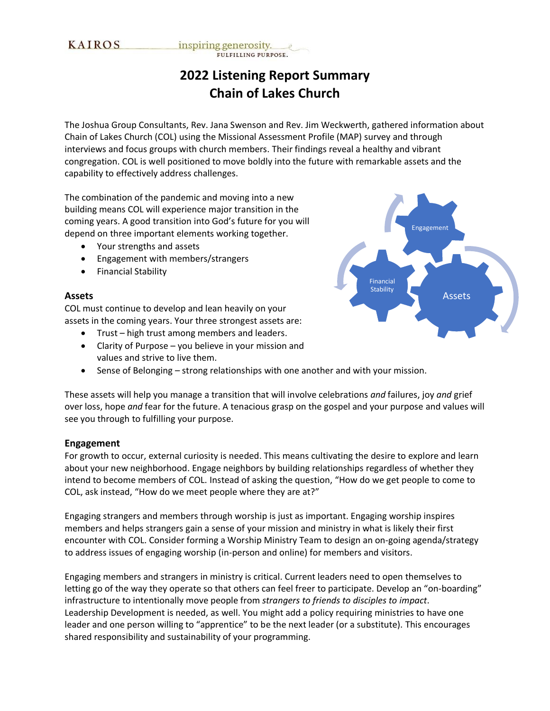# **2022 Listening Report Summary Chain of Lakes Church**

The Joshua Group Consultants, Rev. Jana Swenson and Rev. Jim Weckwerth, gathered information about Chain of Lakes Church (COL) using the Missional Assessment Profile (MAP) survey and through interviews and focus groups with church members. Their findings reveal a healthy and vibrant congregation. COL is well positioned to move boldly into the future with remarkable assets and the capability to effectively address challenges.

The combination of the pandemic and moving into a new building means COL will experience major transition in the coming years. A good transition into God's future for you will depend on three important elements working together.

- Your strengths and assets
- Engagement with members/strangers
- Financial Stability

#### **Assets**

COL must continue to develop and lean heavily on your assets in the coming years. Your three strongest assets are:

- Trust high trust among members and leaders.
- Clarity of Purpose you believe in your mission and values and strive to live them.
- Sense of Belonging strong relationships with one another and with your mission.

These assets will help you manage a transition that will involve celebrations *and* failures, joy *and* grief over loss, hope *and* fear for the future. A tenacious grasp on the gospel and your purpose and values will see you through to fulfilling your purpose.

#### **Engagement**

For growth to occur, external curiosity is needed. This means cultivating the desire to explore and learn about your new neighborhood. Engage neighbors by building relationships regardless of whether they intend to become members of COL. Instead of asking the question, "How do we get people to come to COL, ask instead, "How do we meet people where they are at?"

Engaging strangers and members through worship is just as important. Engaging worship inspires members and helps strangers gain a sense of your mission and ministry in what is likely their first encounter with COL. Consider forming a Worship Ministry Team to design an on-going agenda/strategy to address issues of engaging worship (in-person and online) for members and visitors.

Engaging members and strangers in ministry is critical. Current leaders need to open themselves to letting go of the way they operate so that others can feel freer to participate. Develop an "on-boarding" infrastructure to intentionally move people from *strangers to friends to disciples to impact*. Leadership Development is needed, as well. You might add a policy requiring ministries to have one leader and one person willing to "apprentice" to be the next leader (or a substitute). This encourages shared responsibility and sustainability of your programming.